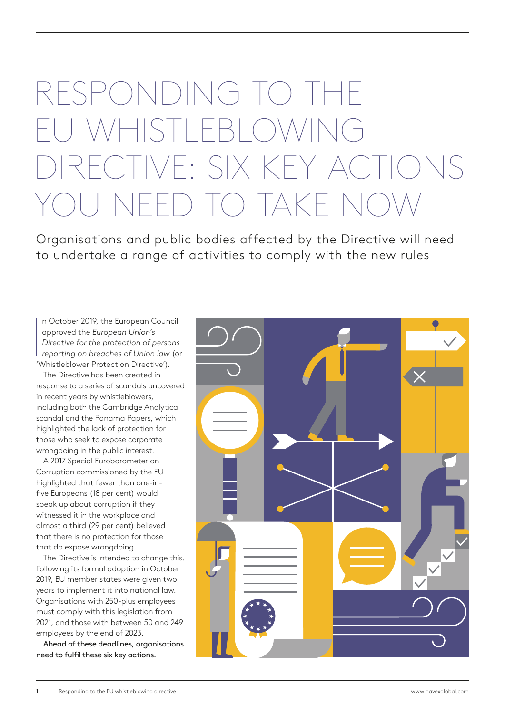## RESPONDING TO THE EU WHISTLEBLOWING RECTIVE: SIX KEY ACTIONS YOU NEED TO TAKE NOW

Organisations and public bodies affected by the Directive will need to undertake a range of activities to comply with the new rules

 $\begin{bmatrix} 1 \\ 0 \\ 0 \\ 0 \end{bmatrix}$ n October 2019, the European Council approved the *European Union's Directive for the protection of persons reporting on breaches of Union law* (or 'Whistleblower Protection Directive').

The Directive has been created in response to a series of scandals uncovered in recent years by whistleblowers, including both the Cambridge Analytica scandal and the Panama Papers, which highlighted the lack of protection for those who seek to expose corporate wrongdoing in the public interest.

A 2017 Special Eurobarometer on Corruption commissioned by the EU highlighted that fewer than one-infive Europeans (18 per cent) would speak up about corruption if they witnessed it in the workplace and almost a third (29 per cent) believed that there is no protection for those that do expose wrongdoing.

The Directive is intended to change this. Following its formal adoption in October 2019, EU member states were given two years to implement it into national law. Organisations with 250-plus employees must comply with this legislation from 2021, and those with between 50 and 249 employees by the end of 2023.

Ahead of these deadlines, organisations need to fulfil these six key actions.

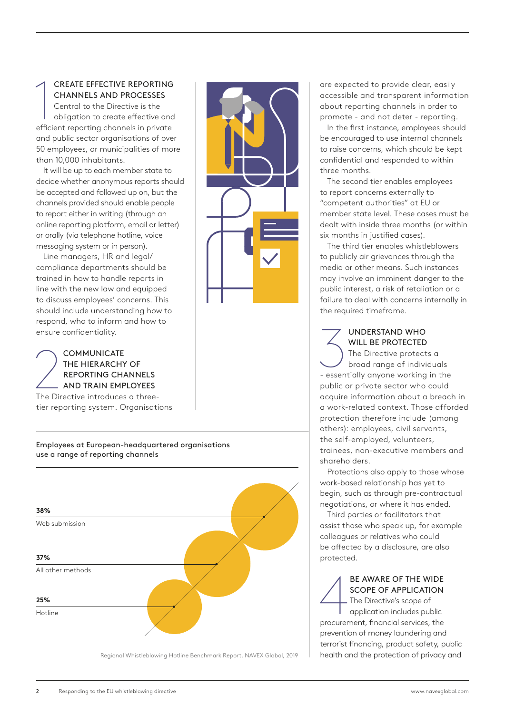CREATE EFFECTIVE REPORTING CHANNELS AND PROCESSES

**CREATE EFFECTIVE REPORTING<br>CHANNELS AND PROCESSES**<br>Central to the Directive is the<br>obligation to create effective and<br>efficient reporting channels in private Central to the Directive is the obligation to create effective and and public sector organisations of over 50 employees, or municipalities of more than 10,000 inhabitants.

It will be up to each member state to decide whether anonymous reports should be accepted and followed up on, but the channels provided should enable people to report either in writing (through an online reporting platform, email or letter) or orally (via telephone hotline, voice messaging system or in person).

Line managers, HR and legal/ compliance departments should be trained in how to handle reports in line with the new law and equipped to discuss employees' concerns. This should include understanding how to respond, who to inform and how to ensure confidentiality.

## COMMUNICATE<br>
THE HIERARCHY OF<br>
REPORTING CHANNELS<br>
AND TRAIN EMPLOYEES<br>
The Directive introduces a three-COMMUNICATE THE HIERARCHY OF REPORTING CHANNELS AND TRAIN EMPLOYEES

tier reporting system. Organisations

Employees at European-headquartered organisations use a range of reporting channels



Regional Whistleblowing Hotline Benchmark Report, NAVEX Global, 2019



are expected to provide clear, easily accessible and transparent information about reporting channels in order to promote - and not deter - reporting.

In the first instance, employees should be encouraged to use internal channels to raise concerns, which should be kept confidential and responded to within three months.

The second tier enables employees to report concerns externally to "competent authorities" at EU or member state level. These cases must be dealt with inside three months (or within six months in justified cases).

The third tier enables whistleblowers to publicly air grievances through the media or other means. Such instances may involve an imminent danger to the public interest, a risk of retaliation or a failure to deal with concerns internally in the required timeframe.

## UNDERSTAND WHO WILL BE PROTECTED

UNDERSTAND WHO<br>
WILL BE PROTECTED<br>
The Directive protects a<br>
broad range of individuals<br>
- essentially anyone working in the The Directive protects a broad range of individuals public or private sector who could acquire information about a breach in a work-related context. Those afforded protection therefore include (among others): employees, civil servants, the self-employed, volunteers, trainees, non-executive members and shareholders.

Protections also apply to those whose work-based relationship has yet to begin, such as through pre-contractual negotiations, or where it has ended.

Third parties or facilitators that assist those who speak up, for example colleagues or relatives who could be affected by a disclosure, are also protected.

BE AWARE OF THE WIDE<br>SCOPE OF APPLICATION<br>The Directive's scope of<br>opplication includes public<br>procurement, financial services, the BE AWARE OF THE WIDE SCOPE OF APPLICATION The Directive's scope of application includes public prevention of money laundering and terrorist financing, product safety, public health and the protection of privacy and